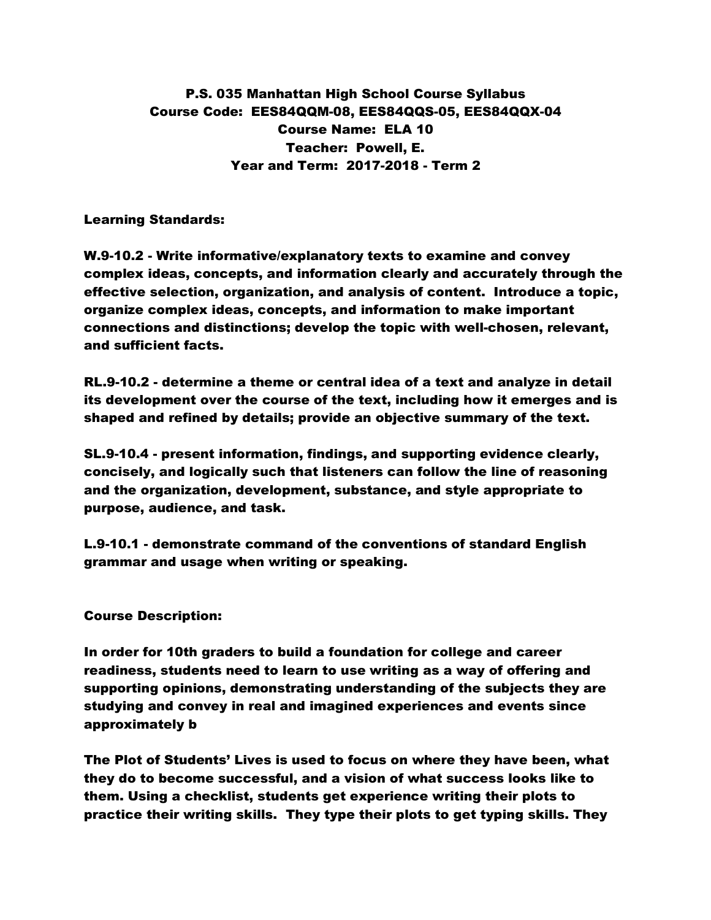P.S. 035 Manhattan High School Course Syllabus Course Code: EES84QQM-08, EES84QQS-05, EES84QQX-04 Course Name: ELA 10 Teacher: Powell, E. Year and Term: 2017-2018 - Term 2

Learning Standards:

W.9-10.2 - Write informative/explanatory texts to examine and convey complex ideas, concepts, and information clearly and accurately through the effective selection, organization, and analysis of content. Introduce a topic, organize complex ideas, concepts, and information to make important connections and distinctions; develop the topic with well-chosen, relevant, and sufficient facts.

RL.9-10.2 - determine a theme or central idea of a text and analyze in detail its development over the course of the text, including how it emerges and is shaped and refined by details; provide an objective summary of the text.

SL.9-10.4 - present information, findings, and supporting evidence clearly, concisely, and logically such that listeners can follow the line of reasoning and the organization, development, substance, and style appropriate to purpose, audience, and task.

L.9-10.1 - demonstrate command of the conventions of standard English grammar and usage when writing or speaking.

## Course Description:

In order for 10th graders to build a foundation for college and career readiness, students need to learn to use writing as a way of offering and supporting opinions, demonstrating understanding of the subjects they are studying and convey in real and imagined experiences and events since approximately b

The Plot of Students' Lives is used to focus on where they have been, what they do to become successful, and a vision of what success looks like to them. Using a checklist, students get experience writing their plots to practice their writing skills. They type their plots to get typing skills. They